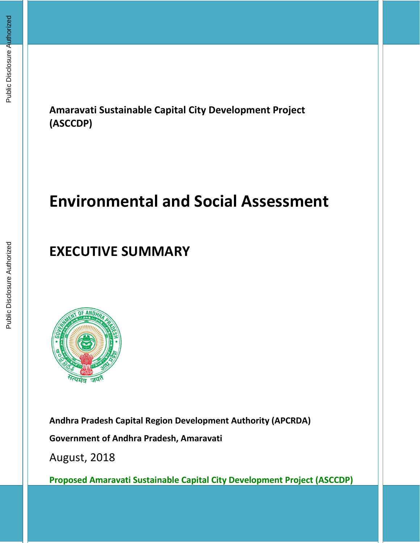**Amaravati Sustainable Capital City Development Project (ASCCDP)**

# **Environmental and Social Assessment**

## **EXECUTIVE SUMMARY**



**Andhra Pradesh Capital Region Development Authority (APCRDA) Government of Andhra Pradesh, Amaravati**

August, 2018

**Proposed Amaravati Sustainable Capital City Development Project (ASCCDP)**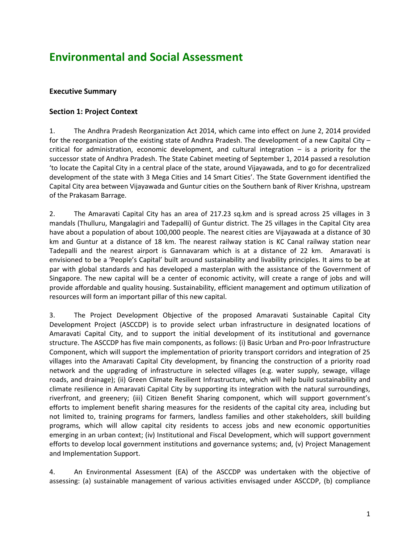### **Environmental and Social Assessment**

#### **Executive Summary**

#### **Section 1: Project Context**

1. The Andhra Pradesh Reorganization Act 2014, which came into effect on June 2, 2014 provided for the reorganization of the existing state of Andhra Pradesh. The development of a new Capital City – critical for administration, economic development, and cultural integration – is a priority for the successor state of Andhra Pradesh. The State Cabinet meeting of September 1, 2014 passed a resolution 'to locate the Capital City in a central place of the state, around Vijayawada, and to go for decentralized development of the state with 3 Mega Cities and 14 Smart Cities'. The State Government identified the Capital City area between Vijayawada and Guntur cities on the Southern bank of River Krishna, upstream of the Prakasam Barrage.

2. The Amaravati Capital City has an area of 217.23 sq.km and is spread across 25 villages in 3 mandals (Thulluru, Mangalagiri and Tadepalli) of Guntur district. The 25 villages in the Capital City area have about a population of about 100,000 people. The nearest cities are Vijayawada at a distance of 30 km and Guntur at a distance of 18 km. The nearest railway station is KC Canal railway station near Tadepalli and the nearest airport is Gannavaram which is at a distance of 22 km. Amaravati is envisioned to be a 'People's Capital' built around sustainability and livability principles. It aims to be at par with global standards and has developed a masterplan with the assistance of the Government of Singapore. The new capital will be a center of economic activity, will create a range of jobs and will provide affordable and quality housing. Sustainability, efficient management and optimum utilization of resources will form an important pillar of this new capital.

3. The Project Development Objective of the proposed Amaravati Sustainable Capital City Development Project (ASCCDP) is to provide select urban infrastructure in designated locations of Amaravati Capital City, and to support the initial development of its institutional and governance structure. The ASCCDP has five main components, as follows: (i) Basic Urban and Pro-poor Infrastructure Component, which will support the implementation of priority transport corridors and integration of 25 villages into the Amaravati Capital City development, by financing the construction of a priority road network and the upgrading of infrastructure in selected villages (e.g. water supply, sewage, village roads, and drainage); (ii) Green Climate Resilient Infrastructure, which will help build sustainability and climate resilience in Amaravati Capital City by supporting its integration with the natural surroundings, riverfront, and greenery; (iii) Citizen Benefit Sharing component, which will support government's efforts to implement benefit sharing measures for the residents of the capital city area, including but not limited to, training programs for farmers, landless families and other stakeholders, skill building programs, which will allow capital city residents to access jobs and new economic opportunities emerging in an urban context; (iv) Institutional and Fiscal Development, which will support government efforts to develop local government institutions and governance systems; and, (v) Project Management and Implementation Support.

4. An Environmental Assessment (EA) of the ASCCDP was undertaken with the objective of assessing: (a) sustainable management of various activities envisaged under ASCCDP, (b) compliance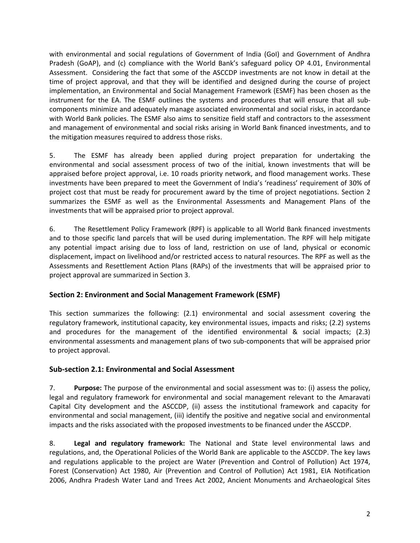with environmental and social regulations of Government of India (GoI) and Government of Andhra Pradesh (GoAP), and (c) compliance with the World Bank's safeguard policy OP 4.01, Environmental Assessment. Considering the fact that some of the ASCCDP investments are not know in detail at the time of project approval, and that they will be identified and designed during the course of project implementation, an Environmental and Social Management Framework (ESMF) has been chosen as the instrument for the EA. The ESMF outlines the systems and procedures that will ensure that all subcomponents minimize and adequately manage associated environmental and social risks, in accordance with World Bank policies. The ESMF also aims to sensitize field staff and contractors to the assessment and management of environmental and social risks arising in World Bank financed investments, and to the mitigation measures required to address those risks.

5. The ESMF has already been applied during project preparation for undertaking the environmental and social assessment process of two of the initial, known investments that will be appraised before project approval, i.e. 10 roads priority network, and flood management works. These investments have been prepared to meet the Government of India's 'readiness' requirement of 30% of project cost that must be ready for procurement award by the time of project negotiations. Section 2 summarizes the ESMF as well as the Environmental Assessments and Management Plans of the investments that will be appraised prior to project approval.

6. The Resettlement Policy Framework (RPF) is applicable to all World Bank financed investments and to those specific land parcels that will be used during implementation. The RPF will help mitigate any potential impact arising due to loss of land, restriction on use of land, physical or economic displacement, impact on livelihood and/or restricted access to natural resources. The RPF as well as the Assessments and Resettlement Action Plans (RAPs) of the investments that will be appraised prior to project approval are summarized in Section 3.

#### **Section 2: Environment and Social Management Framework (ESMF)**

This section summarizes the following: (2.1) environmental and social assessment covering the regulatory framework, institutional capacity, key environmental issues, impacts and risks; (2.2) systems and procedures for the management of the identified environmental & social impacts; (2.3) environmental assessments and management plans of two sub-components that will be appraised prior to project approval.

#### **Sub-section 2.1: Environmental and Social Assessment**

7. **Purpose:** The purpose of the environmental and social assessment was to: (i) assess the policy, legal and regulatory framework for environmental and social management relevant to the Amaravati Capital City development and the ASCCDP, (ii) assess the institutional framework and capacity for environmental and social management, (iii) identify the positive and negative social and environmental impacts and the risks associated with the proposed investments to be financed under the ASCCDP.

8. **Legal and regulatory framework:** The National and State level environmental laws and regulations, and, the Operational Policies of the World Bank are applicable to the ASCCDP. The key laws and regulations applicable to the project are Water (Prevention and Control of Pollution) Act 1974, Forest (Conservation) Act 1980, Air (Prevention and Control of Pollution) Act 1981, EIA Notification 2006, Andhra Pradesh Water Land and Trees Act 2002, Ancient Monuments and Archaeological Sites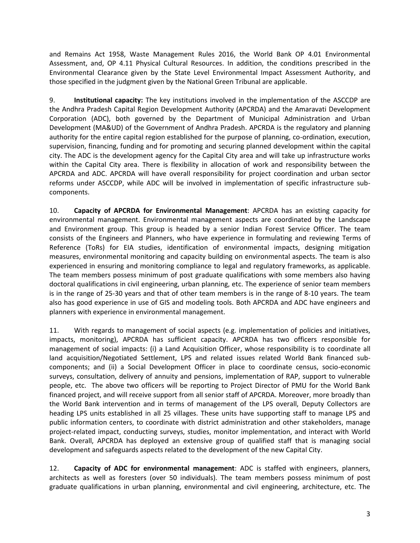and Remains Act 1958, Waste Management Rules 2016, the World Bank OP 4.01 Environmental Assessment, and, OP 4.11 Physical Cultural Resources. In addition, the conditions prescribed in the Environmental Clearance given by the State Level Environmental Impact Assessment Authority, and those specified in the judgment given by the National Green Tribunal are applicable.

9. **Institutional capacity:** The key institutions involved in the implementation of the ASCCDP are the Andhra Pradesh Capital Region Development Authority (APCRDA) and the Amaravati Development Corporation (ADC), both governed by the Department of Municipal Administration and Urban Development (MA&UD) of the Government of Andhra Pradesh. APCRDA is the regulatory and planning authority for the entire capital region established for the purpose of planning, co-ordination, execution, supervision, financing, funding and for promoting and securing planned development within the capital city. The ADC is the development agency for the Capital City area and will take up infrastructure works within the Capital City area. There is flexibility in allocation of work and responsibility between the APCRDA and ADC. APCRDA will have overall responsibility for project coordination and urban sector reforms under ASCCDP, while ADC will be involved in implementation of specific infrastructure subcomponents.

10. **Capacity of APCRDA for Environmental Management**: APCRDA has an existing capacity for environmental management. Environmental management aspects are coordinated by the Landscape and Environment group. This group is headed by a senior Indian Forest Service Officer. The team consists of the Engineers and Planners, who have experience in formulating and reviewing Terms of Reference (ToRs) for EIA studies, identification of environmental impacts, designing mitigation measures, environmental monitoring and capacity building on environmental aspects. The team is also experienced in ensuring and monitoring compliance to legal and regulatory frameworks, as applicable. The team members possess minimum of post graduate qualifications with some members also having doctoral qualifications in civil engineering, urban planning, etc. The experience of senior team members is in the range of 25-30 years and that of other team members is in the range of 8-10 years. The team also has good experience in use of GIS and modeling tools. Both APCRDA and ADC have engineers and planners with experience in environmental management.

11. With regards to management of social aspects (e.g. implementation of policies and initiatives, impacts, monitoring), APCRDA has sufficient capacity. APCRDA has two officers responsible for management of social impacts: (i) a Land Acquisition Officer, whose responsibility is to coordinate all land acquisition/Negotiated Settlement, LPS and related issues related World Bank financed subcomponents; and (ii) a Social Development Officer in place to coordinate census, socio-economic surveys, consultation, delivery of annuity and pensions, implementation of RAP, support to vulnerable people, etc. The above two officers will be reporting to Project Director of PMU for the World Bank financed project, and will receive support from all senior staff of APCRDA. Moreover, more broadly than the World Bank intervention and in terms of management of the LPS overall, Deputy Collectors are heading LPS units established in all 25 villages. These units have supporting staff to manage LPS and public information centers, to coordinate with district administration and other stakeholders, manage project-related impact, conducting surveys, studies, monitor implementation, and interact with World Bank. Overall, APCRDA has deployed an extensive group of qualified staff that is managing social development and safeguards aspects related to the development of the new Capital City.

12. **Capacity of ADC for environmental management**: ADC is staffed with engineers, planners, architects as well as foresters (over 50 individuals). The team members possess minimum of post graduate qualifications in urban planning, environmental and civil engineering, architecture, etc. The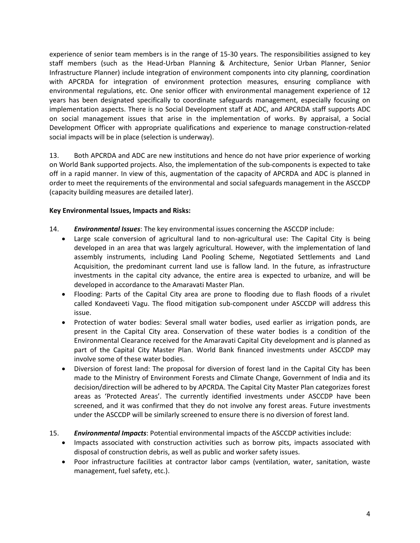experience of senior team members is in the range of 15-30 years. The responsibilities assigned to key staff members (such as the Head-Urban Planning & Architecture, Senior Urban Planner, Senior Infrastructure Planner) include integration of environment components into city planning, coordination with APCRDA for integration of environment protection measures, ensuring compliance with environmental regulations, etc. One senior officer with environmental management experience of 12 years has been designated specifically to coordinate safeguards management, especially focusing on implementation aspects. There is no Social Development staff at ADC, and APCRDA staff supports ADC on social management issues that arise in the implementation of works. By appraisal, a Social Development Officer with appropriate qualifications and experience to manage construction-related social impacts will be in place (selection is underway).

13. Both APCRDA and ADC are new institutions and hence do not have prior experience of working on World Bank supported projects. Also, the implementation of the sub-components is expected to take off in a rapid manner. In view of this, augmentation of the capacity of APCRDA and ADC is planned in order to meet the requirements of the environmental and social safeguards management in the ASCCDP (capacity building measures are detailed later).

#### **Key Environmental Issues, Impacts and Risks:**

- 14. *Environmental Issues*: The key environmental issues concerning the ASCCDP include:
	- Large scale conversion of agricultural land to non-agricultural use: The Capital City is being developed in an area that was largely agricultural. However, with the implementation of land assembly instruments, including Land Pooling Scheme, Negotiated Settlements and Land Acquisition, the predominant current land use is fallow land. In the future, as infrastructure investments in the capital city advance, the entire area is expected to urbanize, and will be developed in accordance to the Amaravati Master Plan.
	- Flooding: Parts of the Capital City area are prone to flooding due to flash floods of a rivulet called Kondaveeti Vagu. The flood mitigation sub-component under ASCCDP will address this issue.
	- Protection of water bodies: Several small water bodies, used earlier as irrigation ponds, are present in the Capital City area. Conservation of these water bodies is a condition of the Environmental Clearance received for the Amaravati Capital City development and is planned as part of the Capital City Master Plan. World Bank financed investments under ASCCDP may involve some of these water bodies.
	- Diversion of forest land: The proposal for diversion of forest land in the Capital City has been made to the Ministry of Environment Forests and Climate Change, Government of India and its decision/direction will be adhered to by APCRDA. The Capital City Master Plan categorizes forest areas as 'Protected Areas'. The currently identified investments under ASCCDP have been screened, and it was confirmed that they do not involve any forest areas. Future investments under the ASCCDP will be similarly screened to ensure there is no diversion of forest land.
- 15. *Environmental Impacts*: Potential environmental impacts of the ASCCDP activities include:
	- Impacts associated with construction activities such as borrow pits, impacts associated with disposal of construction debris, as well as public and worker safety issues.
	- Poor infrastructure facilities at contractor labor camps (ventilation, water, sanitation, waste management, fuel safety, etc.).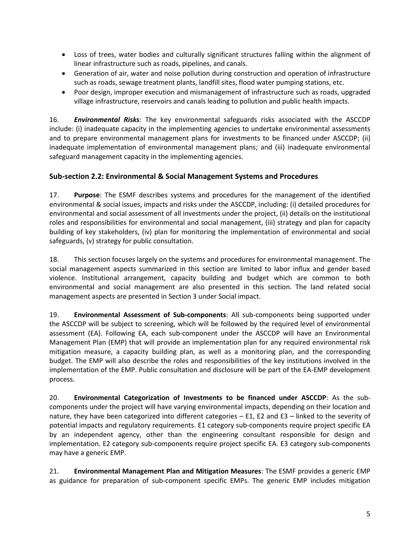- Loss of trees, water bodies and culturally significant structures falling within the alignment of linear infrastructure such as roads, pipelines, and canals.
- Generation of air, water and noise pollution during construction and operation of infrastructure such as roads, sewage treatment plants, landfill sites, flood water pumping stations, etc.
- Poor design, improper execution and mismanagement of infrastructure such as roads, upgraded village infrastructure, reservoirs and canals leading to pollution and public health impacts.

16. *Environmental Risks*: The key environmental safeguards risks associated with the ASCCDP include: (i) inadequate capacity in the implementing agencies to undertake environmental assessments and to prepare environmental management plans for investments to be financed under ASCCDP; (ii) inadequate implementation of environmental management plans; and (iii) inadequate environmental safeguard management capacity in the implementing agencies.

#### **Sub-section 2.2: Environmental & Social Management Systems and Procedures**

17. **Purpose**: The ESMF describes systems and procedures for the management of the identified environmental & social issues, impacts and risks under the ASCCDP, including: (i) detailed procedures for environmental and social assessment of all investments under the project, (ii) details on the institutional roles and responsibilities for environmental and social management, (iii) strategy and plan for capacity building of key stakeholders, (iv) plan for monitoring the implementation of environmental and social safeguards, (v) strategy for public consultation.

18. This section focuses largely on the systems and procedures for environmental management. The social management aspects summarized in this section are limited to labor influx and gender based violence. Institutional arrangement, capacity building and budget which are common to both environmental and social management are also presented in this section. The land related social management aspects are presented in Section 3 under Social impact.

19. **Environmental Assessment of Sub-components**: All sub-components being supported under the ASCCDP will be subject to screening, which will be followed by the required level of environmental assessment (EA). Following EA, each sub-component under the ASCCDP will have an Environmental Management Plan (EMP) that will provide an implementation plan for any required environmental risk mitigation measure, a capacity building plan, as well as a monitoring plan, and the corresponding budget. The EMP will also describe the roles and responsibilities of the key institutions involved in the implementation of the EMP. Public consultation and disclosure will be part of the EA-EMP development process.

20. **Environmental Categorization of Investments to be financed under ASCCDP**: As the subcomponents under the project will have varying environmental impacts, depending on their location and nature, they have been categorized into different categories – E1, E2 and E3 – linked to the severity of potential impacts and regulatory requirements. E1 category sub-components require project specific EA by an independent agency, other than the engineering consultant responsible for design and implementation. E2 category sub-components require project specific EA. E3 category sub-components may have a generic EMP.

21. **Environmental Management Plan and Mitigation Measures**: The ESMF provides a generic EMP as guidance for preparation of sub-component specific EMPs. The generic EMP includes mitigation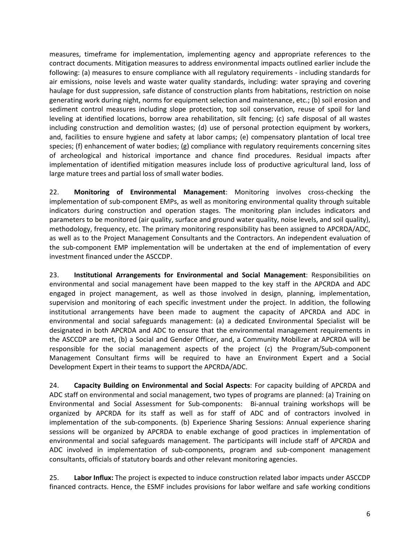measures, timeframe for implementation, implementing agency and appropriate references to the contract documents. Mitigation measures to address environmental impacts outlined earlier include the following: (a) measures to ensure compliance with all regulatory requirements - including standards for air emissions, noise levels and waste water quality standards, including: water spraying and covering haulage for dust suppression, safe distance of construction plants from habitations, restriction on noise generating work during night, norms for equipment selection and maintenance, etc.; (b) soil erosion and sediment control measures including slope protection, top soil conservation, reuse of spoil for land leveling at identified locations, borrow area rehabilitation, silt fencing; (c) safe disposal of all wastes including construction and demolition wastes; (d) use of personal protection equipment by workers, and, facilities to ensure hygiene and safety at labor camps; (e) compensatory plantation of local tree species; (f) enhancement of water bodies;  $(g)$  compliance with regulatory requirements concerning sites of archeological and historical importance and chance find procedures. Residual impacts after implementation of identified mitigation measures include loss of productive agricultural land, loss of large mature trees and partial loss of small water bodies.

22. **Monitoring of Environmental Management**: Monitoring involves cross-checking the implementation of sub-component EMPs, as well as monitoring environmental quality through suitable indicators during construction and operation stages. The monitoring plan includes indicators and parameters to be monitored (air quality, surface and ground water quality, noise levels, and soil quality), methodology, frequency, etc. The primary monitoring responsibility has been assigned to APCRDA/ADC, as well as to the Project Management Consultants and the Contractors. An independent evaluation of the sub-component EMP implementation will be undertaken at the end of implementation of every investment financed under the ASCCDP.

23. **Institutional Arrangements for Environmental and Social Management**: Responsibilities on environmental and social management have been mapped to the key staff in the APCRDA and ADC engaged in project management, as well as those involved in design, planning, implementation, supervision and monitoring of each specific investment under the project. In addition, the following institutional arrangements have been made to augment the capacity of APCRDA and ADC in environmental and social safeguards management: (a) a dedicated Environmental Specialist will be designated in both APCRDA and ADC to ensure that the environmental management requirements in the ASCCDP are met, (b) a Social and Gender Officer, and, a Community Mobilizer at APCRDA will be responsible for the social management aspects of the project (c) the Program/Sub-component Management Consultant firms will be required to have an Environment Expert and a Social Development Expert in their teams to support the APCRDA/ADC.

24. **Capacity Building on Environmental and Social Aspects**: For capacity building of APCRDA and ADC staff on environmental and social management, two types of programs are planned: (a) Training on Environmental and Social Assessment for Sub-components: Bi-annual training workshops will be organized by APCRDA for its staff as well as for staff of ADC and of contractors involved in implementation of the sub-components. (b) Experience Sharing Sessions: Annual experience sharing sessions will be organized by APCRDA to enable exchange of good practices in implementation of environmental and social safeguards management. The participants will include staff of APCRDA and ADC involved in implementation of sub-components, program and sub-component management consultants, officials of statutory boards and other relevant monitoring agencies.

25. **Labor Influx:** The project is expected to induce construction related labor impacts under ASCCDP financed contracts. Hence, the ESMF includes provisions for labor welfare and safe working conditions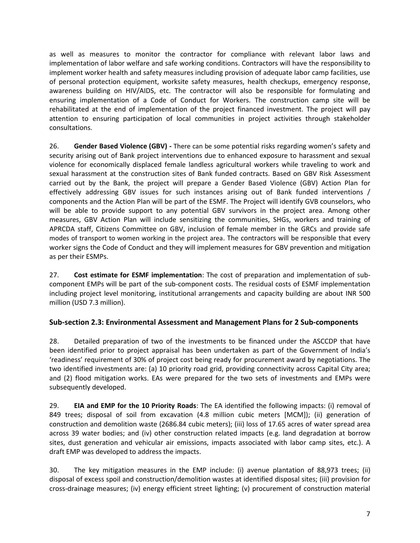as well as measures to monitor the contractor for compliance with relevant labor laws and implementation of labor welfare and safe working conditions. Contractors will have the responsibility to implement worker health and safety measures including provision of adequate labor camp facilities, use of personal protection equipment, worksite safety measures, health checkups, emergency response, awareness building on HIV/AIDS, etc. The contractor will also be responsible for formulating and ensuring implementation of a Code of Conduct for Workers. The construction camp site will be rehabilitated at the end of implementation of the project financed investment. The project will pay attention to ensuring participation of local communities in project activities through stakeholder consultations.

26. **Gender Based Violence (GBV) -** There can be some potential risks regarding women's safety and security arising out of Bank project interventions due to enhanced exposure to harassment and sexual violence for economically displaced female landless agricultural workers while traveling to work and sexual harassment at the construction sites of Bank funded contracts. Based on GBV Risk Assessment carried out by the Bank, the project will prepare a Gender Based Violence (GBV) Action Plan for effectively addressing GBV issues for such instances arising out of Bank funded interventions / components and the Action Plan will be part of the ESMF. The Project will identify GVB counselors, who will be able to provide support to any potential GBV survivors in the project area. Among other measures, GBV Action Plan will include sensitizing the communities, SHGs, workers and training of APRCDA staff, Citizens Committee on GBV, inclusion of female member in the GRCs and provide safe modes of transport to women working in the project area. The contractors will be responsible that every worker signs the Code of Conduct and they will implement measures for GBV prevention and mitigation as per their ESMPs.

27. **Cost estimate for ESMF implementation**: The cost of preparation and implementation of subcomponent EMPs will be part of the sub-component costs. The residual costs of ESMF implementation including project level monitoring, institutional arrangements and capacity building are about INR 500 million (USD 7.3 million).

#### **Sub-section 2.3: Environmental Assessment and Management Plans for 2 Sub-components**

28. Detailed preparation of two of the investments to be financed under the ASCCDP that have been identified prior to project appraisal has been undertaken as part of the Government of India's 'readiness' requirement of 30% of project cost being ready for procurement award by negotiations. The two identified investments are: (a) 10 priority road grid, providing connectivity across Capital City area; and (2) flood mitigation works. EAs were prepared for the two sets of investments and EMPs were subsequently developed.

29. **EIA and EMP for the 10 Priority Roads**: The EA identified the following impacts: (i) removal of 849 trees; disposal of soil from excavation (4.8 million cubic meters [MCM]); (ii) generation of construction and demolition waste (2686.84 cubic meters); (iii) loss of 17.65 acres of water spread area across 39 water bodies; and (iv) other construction related impacts (e.g. land degradation at borrow sites, dust generation and vehicular air emissions, impacts associated with labor camp sites, etc.). A draft EMP was developed to address the impacts.

30. The key mitigation measures in the EMP include: (i) avenue plantation of 88,973 trees; (ii) disposal of excess spoil and construction/demolition wastes at identified disposal sites; (iii) provision for cross-drainage measures; (iv) energy efficient street lighting; (v) procurement of construction material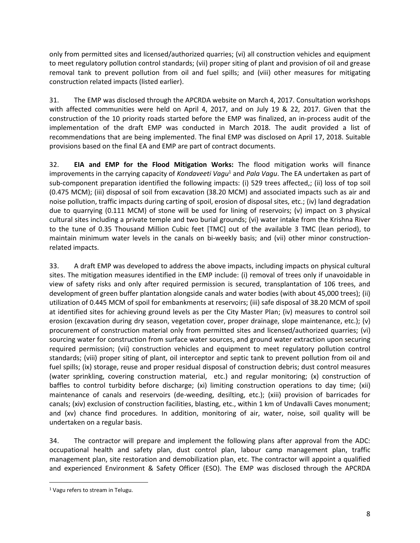only from permitted sites and licensed/authorized quarries; (vi) all construction vehicles and equipment to meet regulatory pollution control standards; (vii) proper siting of plant and provision of oil and grease removal tank to prevent pollution from oil and fuel spills; and (viii) other measures for mitigating construction related impacts (listed earlier).

31. The EMP was disclosed through the APCRDA website on March 4, 2017. Consultation workshops with affected communities were held on April 4, 2017, and on July 19 & 22, 2017. Given that the construction of the 10 priority roads started before the EMP was finalized, an in-process audit of the implementation of the draft EMP was conducted in March 2018. The audit provided a list of recommendations that are being implemented. The final EMP was disclosed on April 17, 2018. Suitable provisions based on the final EA and EMP are part of contract documents.

32. **EIA and EMP for the Flood Mitigation Works:** The flood mitigation works will finance improvements in the carrying capacity of *Kondaveeti Vagu*<sup>1</sup> and *Pala Vagu*. The EA undertaken as part of sub-component preparation identified the following impacts: (i) 529 trees affected,; (ii) loss of top soil (0.475 MCM); (iii) disposal of soil from excavation (38.20 MCM) and associated impacts such as air and noise pollution, traffic impacts during carting of spoil, erosion of disposal sites, etc.; (iv) land degradation due to quarrying (0.111 MCM) of stone will be used for lining of reservoirs; (v) impact on 3 physical cultural sites including a private temple and two burial grounds; (vi) water intake from the Krishna River to the tune of 0.35 Thousand Million Cubic feet [TMC] out of the available 3 TMC (lean period), to maintain minimum water levels in the canals on bi-weekly basis; and (vii) other minor constructionrelated impacts.

33. A draft EMP was developed to address the above impacts, including impacts on physical cultural sites. The mitigation measures identified in the EMP include: (i) removal of trees only if unavoidable in view of safety risks and only after required permission is secured, transplantation of 106 trees, and development of green buffer plantation alongside canals and water bodies (with about 45,000 trees); (ii) utilization of 0.445 MCM of spoil for embankments at reservoirs; (iii) safe disposal of 38.20 MCM of spoil at identified sites for achieving ground levels as per the City Master Plan; (iv) measures to control soil erosion (excavation during dry season, vegetation cover, proper drainage, slope maintenance, etc.); (v) procurement of construction material only from permitted sites and licensed/authorized quarries; (vi) sourcing water for construction from surface water sources, and ground water extraction upon securing required permission; (vii) construction vehicles and equipment to meet regulatory pollution control standards; (viii) proper siting of plant, oil interceptor and septic tank to prevent pollution from oil and fuel spills; (ix) storage, reuse and proper residual disposal of construction debris; dust control measures (water sprinkling, covering construction material, etc.) and regular monitoring; (x) construction of baffles to control turbidity before discharge; (xi) limiting construction operations to day time; (xii) maintenance of canals and reservoirs (de-weeding, desilting, etc.); (xiii) provision of barricades for canals; (xiv) exclusion of construction facilities, blasting, etc., within 1 km of Undavalli Caves monument; and (xv) chance find procedures. In addition, monitoring of air, water, noise, soil quality will be undertaken on a regular basis.

34. The contractor will prepare and implement the following plans after approval from the ADC: occupational health and safety plan, dust control plan, labour camp management plan, traffic management plan, site restoration and demobilization plan, etc. The contractor will appoint a qualified and experienced Environment & Safety Officer (ESO). The EMP was disclosed through the APCRDA

 $\overline{a}$ 

<sup>&</sup>lt;sup>1</sup> Vagu refers to stream in Telugu.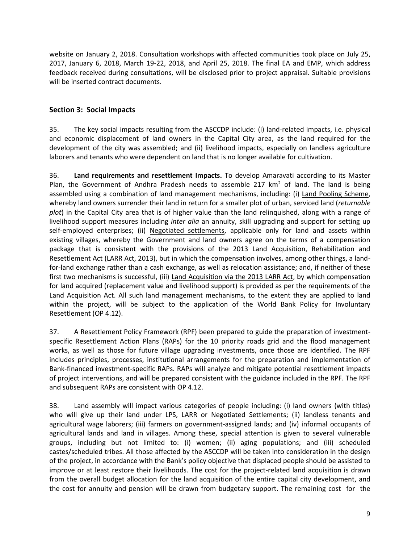website on January 2, 2018. Consultation workshops with affected communities took place on July 25, 2017, January 6, 2018, March 19-22, 2018, and April 25, 2018. The final EA and EMP, which address feedback received during consultations, will be disclosed prior to project appraisal. Suitable provisions will be inserted contract documents.

#### **Section 3: Social Impacts**

35. The key social impacts resulting from the ASCCDP include: (i) land-related impacts, i.e. physical and economic displacement of land owners in the Capital City area, as the land required for the development of the city was assembled; and (ii) livelihood impacts, especially on landless agriculture laborers and tenants who were dependent on land that is no longer available for cultivation.

36. **Land requirements and resettlement Impacts.** To develop Amaravati according to its Master Plan, the Government of Andhra Pradesh needs to assemble 217  $km<sup>2</sup>$  of land. The land is being assembled using a combination of land management mechanisms, including: (i) Land Pooling Scheme, whereby land owners surrender their land in return for a smaller plot of urban, serviced land (*returnable plot*) in the Capital City area that is of higher value than the land relinquished, along with a range of livelihood support measures including *inter alia* an annuity, skill upgrading and support for setting up self-employed enterprises; (ii) Negotiated settlements, applicable only for land and assets within existing villages, whereby the Government and land owners agree on the terms of a compensation package that is consistent with the provisions of the 2013 Land Acquisition, Rehabilitation and Resettlement Act (LARR Act, 2013), but in which the compensation involves, among other things, a landfor-land exchange rather than a cash exchange, as well as relocation assistance; and, if neither of these first two mechanisms is successful, (iii) Land Acquisition via the 2013 LARR Act, by which compensation for land acquired (replacement value and livelihood support) is provided as per the requirements of the Land Acquisition Act. All such land management mechanisms, to the extent they are applied to land within the project, will be subject to the application of the World Bank Policy for Involuntary Resettlement (OP 4.12).

37. A Resettlement Policy Framework (RPF) been prepared to guide the preparation of investmentspecific Resettlement Action Plans (RAPs) for the 10 priority roads grid and the flood management works, as well as those for future village upgrading investments, once those are identified. The RPF includes principles, processes, institutional arrangements for the preparation and implementation of Bank-financed investment-specific RAPs. RAPs will analyze and mitigate potential resettlement impacts of project interventions, and will be prepared consistent with the guidance included in the RPF. The RPF and subsequent RAPs are consistent with OP 4.12.

38. Land assembly will impact various categories of people including: (i) land owners (with titles) who will give up their land under LPS, LARR or Negotiated Settlements; (ii) landless tenants and agricultural wage laborers; (iii) farmers on government-assigned lands; and (iv) informal occupants of agricultural lands and land in villages. Among these, special attention is given to several vulnerable groups, including but not limited to: (i) women; (ii) aging populations; and (iii) scheduled castes/scheduled tribes. All those affected by the ASCCDP will be taken into consideration in the design of the project, in accordance with the Bank's policy objective that displaced people should be assisted to improve or at least restore their livelihoods. The cost for the project-related land acquisition is drawn from the overall budget allocation for the land acquisition of the entire capital city development, and the cost for annuity and pension will be drawn from budgetary support. The remaining cost for the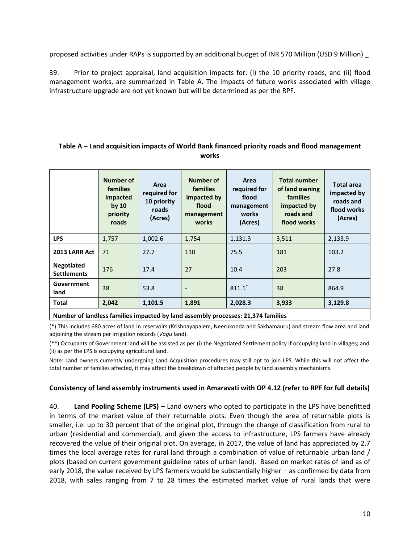proposed activities under RAPs is supported by an additional budget of INR 570 Million (USD 9 Million) \_

39. Prior to project appraisal, land acquisition impacts for: (i) the 10 priority roads, and (ii) flood management works, are summarized in Table A. The impacts of future works associated with village infrastructure upgrade are not yet known but will be determined as per the RPF.

#### **Table A – Land acquisition impacts of World Bank financed priority roads and flood management works**

|                                                                                      | <b>Number of</b><br>families<br>impacted<br>by $10$<br>priority<br>roads | Area<br>required for<br>10 priority<br>roads<br>(Acres) | Number of<br>families<br>impacted by<br>flood<br>management<br>works | Area<br>required for<br>flood<br>management<br>works<br>(Acres) | <b>Total number</b><br>of land owning<br><b>families</b><br>impacted by<br>roads and<br>flood works | <b>Total area</b><br>impacted by<br>roads and<br>flood works<br>(Acres) |
|--------------------------------------------------------------------------------------|--------------------------------------------------------------------------|---------------------------------------------------------|----------------------------------------------------------------------|-----------------------------------------------------------------|-----------------------------------------------------------------------------------------------------|-------------------------------------------------------------------------|
| <b>LPS</b>                                                                           | 1,757                                                                    | 1,002.6                                                 | 1,754                                                                | 1,131.3                                                         | 3,511                                                                                               | 2,133.9                                                                 |
| 2013 LARR Act                                                                        | 71                                                                       | 27.7                                                    | 110                                                                  | 75.5                                                            | 181                                                                                                 | 103.2                                                                   |
| Negotiated<br><b>Settlements</b>                                                     | 176                                                                      | 17.4                                                    | 27                                                                   | 10.4                                                            | 203                                                                                                 | 27.8                                                                    |
| Government<br>land                                                                   | 38                                                                       | 53.8                                                    | $\overline{\phantom{a}}$                                             | $811.1*$                                                        | 38                                                                                                  | 864.9                                                                   |
| <b>Total</b>                                                                         | 2,042                                                                    | 1,101.5                                                 | 1,891                                                                | 2,028.3                                                         | 3,933                                                                                               | 3,129.8                                                                 |
| About be a of boodback families to accepted builded accepted and conserve A4 A74 fam |                                                                          |                                                         |                                                                      |                                                                 |                                                                                                     |                                                                         |

**Number of landless families impacted by land assembly processes: 21,374 families**

(\*) This includes 680 acres of land in reservoirs (Krishnayapalem, Neerukonda and Sakhamauru) and stream flow area and land adjoining the stream per irrigation records (*Vagu* land).

(\*\*) Occupants of Government land will be assisted as per (i) the Negotiated Settlement policy if occupying land in villages; and (ii) as per the LPS is occupying agricultural land.

Note: Land owners currently undergoing Land Acquisition procedures may still opt to join LPS. While this will not affect the total number of families affected, it may affect the breakdown of affected people by land assembly mechanisms.

#### **Consistency of land assembly instruments used in Amaravati with OP 4.12 (refer to RPF for full details)**

40. **Land Pooling Scheme (LPS) –** Land owners who opted to participate in the LPS have benefitted in terms of the market value of their returnable plots. Even though the area of returnable plots is smaller, i.e. up to 30 percent that of the original plot, through the change of classification from rural to urban (residential and commercial), and given the access to infrastructure, LPS farmers have already recovered the value of their original plot. On average, in 2017, the value of land has appreciated by 2.7 times the local average rates for rural land through a combination of value of returnable urban land / plots (based on current government guideline rates of urban land). Based on market rates of land as of early 2018, the value received by LPS farmers would be substantially higher – as confirmed by data from 2018, with sales ranging from 7 to 28 times the estimated market value of rural lands that were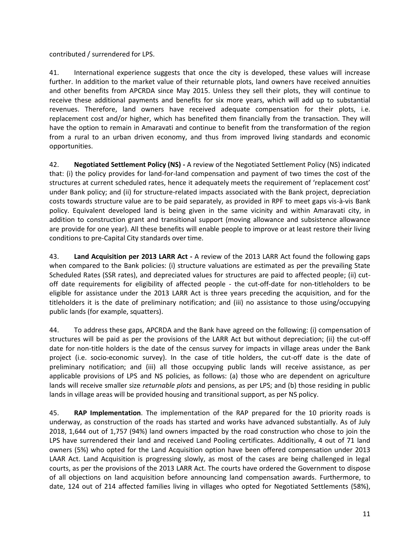contributed / surrendered for LPS.

41. International experience suggests that once the city is developed, these values will increase further. In addition to the market value of their returnable plots, land owners have received annuities and other benefits from APCRDA since May 2015. Unless they sell their plots, they will continue to receive these additional payments and benefits for six more years, which will add up to substantial revenues. Therefore, land owners have received adequate compensation for their plots, i.e. replacement cost and/or higher, which has benefited them financially from the transaction. They will have the option to remain in Amaravati and continue to benefit from the transformation of the region from a rural to an urban driven economy, and thus from improved living standards and economic opportunities.

42. **Negotiated Settlement Policy (NS) -** A review of the Negotiated Settlement Policy (NS) indicated that: (i) the policy provides for land-for-land compensation and payment of two times the cost of the structures at current scheduled rates, hence it adequately meets the requirement of 'replacement cost' under Bank policy; and (ii) for structure-related impacts associated with the Bank project, depreciation costs towards structure value are to be paid separately, as provided in RPF to meet gaps vis-à-vis Bank policy. Equivalent developed land is being given in the same vicinity and within Amaravati city, in addition to construction grant and transitional support (moving allowance and subsistence allowance are provide for one year). All these benefits will enable people to improve or at least restore their living conditions to pre-Capital City standards over time.

43. **Land Acquisition per 2013 LARR Act -** A review of the 2013 LARR Act found the following gaps when compared to the Bank policies: (i) structure valuations are estimated as per the prevailing State Scheduled Rates (SSR rates), and depreciated values for structures are paid to affected people; (ii) cutoff date requirements for eligibility of affected people - the cut-off-date for non-titleholders to be eligible for assistance under the 2013 LARR Act is three years preceding the acquisition, and for the titleholders it is the date of preliminary notification; and (iii) no assistance to those using/occupying public lands (for example, squatters).

44. To address these gaps, APCRDA and the Bank have agreed on the following: (i) compensation of structures will be paid as per the provisions of the LARR Act but without depreciation; (ii) the cut-off date for non-title holders is the date of the census survey for impacts in village areas under the Bank project (i.e. socio-economic survey). In the case of title holders, the cut-off date is the date of preliminary notification; and (iii) all those occupying public lands will receive assistance, as per applicable provisions of LPS and NS policies, as follows: (a) those who are dependent on agriculture lands will receive smaller size *returnable plots* and pensions, as per LPS; and (b) those residing in public lands in village areas will be provided housing and transitional support, as per NS policy.

45. **RAP Implementation**. The implementation of the RAP prepared for the 10 priority roads is underway, as construction of the roads has started and works have advanced substantially. As of July 2018, 1,644 out of 1,757 (94%) land owners impacted by the road construction who chose to join the LPS have surrendered their land and received Land Pooling certificates. Additionally, 4 out of 71 land owners (5%) who opted for the Land Acquisition option have been offered compensation under 2013 LAAR Act. Land Acquisition is progressing slowly, as most of the cases are being challenged in legal courts, as per the provisions of the 2013 LARR Act. The courts have ordered the Government to dispose of all objections on land acquisition before announcing land compensation awards. Furthermore, to date, 124 out of 214 affected families living in villages who opted for Negotiated Settlements (58%),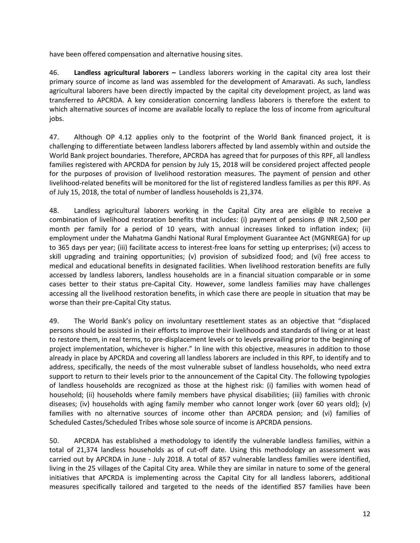have been offered compensation and alternative housing sites.

46. **Landless agricultural laborers –** Landless laborers working in the capital city area lost their primary source of income as land was assembled for the development of Amaravati. As such, landless agricultural laborers have been directly impacted by the capital city development project, as land was transferred to APCRDA. A key consideration concerning landless laborers is therefore the extent to which alternative sources of income are available locally to replace the loss of income from agricultural jobs.

47. Although OP 4.12 applies only to the footprint of the World Bank financed project, it is challenging to differentiate between landless laborers affected by land assembly within and outside the World Bank project boundaries. Therefore, APCRDA has agreed that for purposes of this RPF, all landless families registered with APCRDA for pension by July 15, 2018 will be considered project affected people for the purposes of provision of livelihood restoration measures. The payment of pension and other livelihood-related benefits will be monitored for the list of registered landless families as per this RPF. As of July 15, 2018, the total of number of landless households is 21,374.

48. Landless agricultural laborers working in the Capital City area are eligible to receive a combination of livelihood restoration benefits that includes: (i) payment of pensions @ INR 2,500 per month per family for a period of 10 years, with annual increases linked to inflation index; (ii) employment under the Mahatma Gandhi National Rural Employment Guarantee Act (MGNREGA) for up to 365 days per year; (iii) facilitate access to interest-free loans for setting up enterprises; (vi) access to skill upgrading and training opportunities; (v) provision of subsidized food; and (vi) free access to medical and educational benefits in designated facilities. When livelihood restoration benefits are fully accessed by landless laborers, landless households are in a financial situation comparable or in some cases better to their status pre-Capital City. However, some landless families may have challenges accessing all the livelihood restoration benefits, in which case there are people in situation that may be worse than their pre-Capital City status.

49. The World Bank's policy on involuntary resettlement states as an objective that "displaced persons should be assisted in their efforts to improve their livelihoods and standards of living or at least to restore them, in real terms, to pre-displacement levels or to levels prevailing prior to the beginning of project implementation, whichever is higher." In line with this objective, measures in addition to those already in place by APCRDA and covering all landless laborers are included in this RPF, to identify and to address, specifically, the needs of the most vulnerable subset of landless households, who need extra support to return to their levels prior to the announcement of the Capital City. The following typologies of landless households are recognized as those at the highest risk: (i) families with women head of household; (ii) households where family members have physical disabilities; (iii) families with chronic diseases; (iv) households with aging family member who cannot longer work (over 60 years old); (v) families with no alternative sources of income other than APCRDA pension; and (vi) families of Scheduled Castes/Scheduled Tribes whose sole source of income is APCRDA pensions.

50. APCRDA has established a methodology to identify the vulnerable landless families, within a total of 21,374 landless households as of cut-off date. Using this methodology an assessment was carried out by APCRDA in June - July 2018. A total of 857 vulnerable landless families were identified, living in the 25 villages of the Capital City area. While they are similar in nature to some of the general initiatives that APCRDA is implementing across the Capital City for all landless laborers, additional measures specifically tailored and targeted to the needs of the identified 857 families have been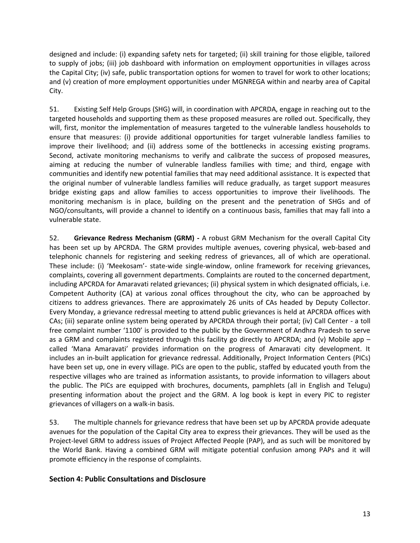designed and include: (i) expanding safety nets for targeted; (ii) skill training for those eligible, tailored to supply of jobs; (iii) job dashboard with information on employment opportunities in villages across the Capital City; (iv) safe, public transportation options for women to travel for work to other locations; and (v) creation of more employment opportunities under MGNREGA within and nearby area of Capital City.

51. Existing Self Help Groups (SHG) will, in coordination with APCRDA, engage in reaching out to the targeted households and supporting them as these proposed measures are rolled out. Specifically, they will, first, monitor the implementation of measures targeted to the vulnerable landless households to ensure that measures: (i) provide additional opportunities for target vulnerable landless families to improve their livelihood; and (ii) address some of the bottlenecks in accessing existing programs. Second, activate monitoring mechanisms to verify and calibrate the success of proposed measures, aiming at reducing the number of vulnerable landless families with time; and third, engage with communities and identify new potential families that may need additional assistance. It is expected that the original number of vulnerable landless families will reduce gradually, as target support measures bridge existing gaps and allow families to access opportunities to improve their livelihoods. The monitoring mechanism is in place, building on the present and the penetration of SHGs and of NGO/consultants, will provide a channel to identify on a continuous basis, families that may fall into a vulnerable state.

52. **Grievance Redress Mechanism (GRM) -** A robust GRM Mechanism for the overall Capital City has been set up by APCRDA. The GRM provides multiple avenues, covering physical, web-based and telephonic channels for registering and seeking redress of grievances, all of which are operational. These include: (i) 'Meekosam'- state-wide single-window, online framework for receiving grievances, complaints, covering all government departments. Complaints are routed to the concerned department, including APCRDA for Amaravati related grievances; (ii) physical system in which designated officials, i.e. Competent Authority (CA) at various zonal offices throughout the city, who can be approached by citizens to address grievances. There are approximately 26 units of CAs headed by Deputy Collector. Every Monday, a grievance redressal meeting to attend public grievances is held at APCRDA offices with CAs; (iii) separate online system being operated by APCRDA through their portal; (iv) Call Center - a toll free complaint number '1100' is provided to the public by the Government of Andhra Pradesh to serve as a GRM and complaints registered through this facility go directly to APCRDA; and (v) Mobile app  $$ called 'Mana Amaravati' provides information on the progress of Amaravati city development. It includes an in-built application for grievance redressal. Additionally, Project Information Centers (PICs) have been set up, one in every village. PICs are open to the public, staffed by educated youth from the respective villages who are trained as information assistants, to provide information to villagers about the public. The PICs are equipped with brochures, documents, pamphlets (all in English and Telugu) presenting information about the project and the GRM. A log book is kept in every PIC to register grievances of villagers on a walk-in basis.

53. The multiple channels for grievance redress that have been set up by APCRDA provide adequate avenues for the population of the Capital City area to express their grievances. They will be used as the Project-level GRM to address issues of Project Affected People (PAP), and as such will be monitored by the World Bank. Having a combined GRM will mitigate potential confusion among PAPs and it will promote efficiency in the response of complaints.

#### **Section 4: Public Consultations and Disclosure**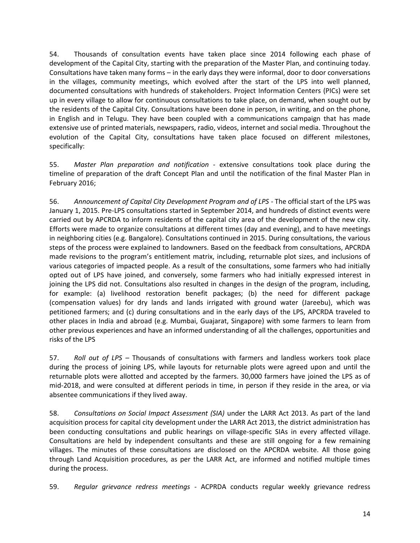54. Thousands of consultation events have taken place since 2014 following each phase of development of the Capital City, starting with the preparation of the Master Plan, and continuing today. Consultations have taken many forms – in the early days they were informal, door to door conversations in the villages, community meetings, which evolved after the start of the LPS into well planned, documented consultations with hundreds of stakeholders. Project Information Centers (PICs) were set up in every village to allow for continuous consultations to take place, on demand, when sought out by the residents of the Capital City. Consultations have been done in person, in writing, and on the phone, in English and in Telugu. They have been coupled with a communications campaign that has made extensive use of printed materials, newspapers, radio, videos, internet and social media. Throughout the evolution of the Capital City, consultations have taken place focused on different milestones, specifically:

55. *Master Plan preparation and notification -* extensive consultations took place during the timeline of preparation of the draft Concept Plan and until the notification of the final Master Plan in February 2016;

56. *Announcement of Capital City Development Program and of LPS -* The official start of the LPS was January 1, 2015. Pre-LPS consultations started in September 2014, and hundreds of distinct events were carried out by APCRDA to inform residents of the capital city area of the development of the new city. Efforts were made to organize consultations at different times (day and evening), and to have meetings in neighboring cities (e.g. Bangalore). Consultations continued in 2015. During consultations, the various steps of the process were explained to landowners. Based on the feedback from consultations, APCRDA made revisions to the program's entitlement matrix, including, returnable plot sizes, and inclusions of various categories of impacted people. As a result of the consultations, some farmers who had initially opted out of LPS have joined, and conversely, some farmers who had initially expressed interest in joining the LPS did not. Consultations also resulted in changes in the design of the program, including, for example: (a) livelihood restoration benefit packages; (b) the need for different package (compensation values) for dry lands and lands irrigated with ground water (Jareebu), which was petitioned farmers; and (c) during consultations and in the early days of the LPS, APCRDA traveled to other places in India and abroad (e.g. Mumbai, Guajarat, Singapore) with some farmers to learn from other previous experiences and have an informed understanding of all the challenges, opportunities and risks of the LPS

57. *Roll out of LPS –* Thousands of consultations with farmers and landless workers took place during the process of joining LPS, while layouts for returnable plots were agreed upon and until the returnable plots were allotted and accepted by the farmers. 30,000 farmers have joined the LPS as of mid-2018, and were consulted at different periods in time, in person if they reside in the area, or via absentee communications if they lived away.

58. *Consultations on Social Impact Assessment (SIA)* under the LARR Act 2013. As part of the land acquisition process for capital city development under the LARR Act 2013, the district administration has been conducting consultations and public hearings on village-specific SIAs in every affected village. Consultations are held by independent consultants and these are still ongoing for a few remaining villages. The minutes of these consultations are disclosed on the [APCRDA website.](https://crda.ap.gov.in/) All those going through Land Acquisition procedures, as per the LARR Act, are informed and notified multiple times during the process.

59. *Regular grievance redress meetings -* ACPRDA conducts regular weekly grievance redress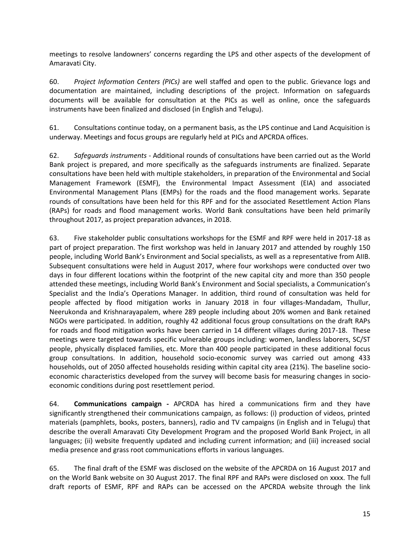meetings to resolve landowners' concerns regarding the LPS and other aspects of the development of Amaravati City.

60. *Project Information Centers (PICs)* are well staffed and open to the public. Grievance logs and documentation are maintained, including descriptions of the project. Information on safeguards documents will be available for consultation at the PICs as well as online, once the safeguards instruments have been finalized and disclosed (in English and Telugu).

61. Consultations continue today, on a permanent basis, as the LPS continue and Land Acquisition is underway. Meetings and focus groups are regularly held at PICs and APCRDA offices.

62. *Safeguards instruments* - Additional rounds of consultations have been carried out as the World Bank project is prepared, and more specifically as the safeguards instruments are finalized. Separate consultations have been held with multiple stakeholders, in preparation of the Environmental and Social Management Framework (ESMF), the Environmental Impact Assessment (EIA) and associated Environmental Management Plans (EMPs) for the roads and the flood management works. Separate rounds of consultations have been held for this RPF and for the associated Resettlement Action Plans (RAPs) for roads and flood management works. World Bank consultations have been held primarily throughout 2017, as project preparation advances, in 2018.

63. Five stakeholder public consultations workshops for the ESMF and RPF were held in 2017-18 as part of project preparation. The first workshop was held in January 2017 and attended by roughly 150 people, including World Bank's Environment and Social specialists, as well as a representative from AIIB. Subsequent consultations were held in August 2017, where four workshops were conducted over two days in four different locations within the footprint of the new capital city and more than 350 people attended these meetings, including World Bank's Environment and Social specialists, a Communication's Specialist and the India's Operations Manager. In addition, third round of consultation was held for people affected by flood mitigation works in January 2018 in four villages-Mandadam, Thullur, Neerukonda and Krishnarayapalem, where 289 people including about 20% women and Bank retained NGOs were participated. In addition, roughly 42 additional focus group consultations on the draft RAPs for roads and flood mitigation works have been carried in 14 different villages during 2017-18. These meetings were targeted towards specific vulnerable groups including: women, landless laborers, SC/ST people, physically displaced families, etc. More than 400 people participated in these additional focus group consultations. In addition, household socio-economic survey was carried out among 433 households, out of 2050 affected households residing within capital city area (21%). The baseline socioeconomic characteristics developed from the survey will become basis for measuring changes in socioeconomic conditions during post resettlement period.

64. **Communications campaign -** APCRDA has hired a communications firm and they have significantly strengthened their communications campaign, as follows: (i) production of videos, printed materials (pamphlets, books, posters, banners), radio and TV campaigns (in English and in Telugu) that describe the overall Amaravati City Development Program and the proposed World Bank Project, in all languages; (ii) website frequently updated and including current information; and (iii) increased social media presence and grass root communications efforts in various languages.

65. The final draft of the ESMF was disclosed on the website of the APCRDA on 16 August 2017 and on the World Bank website on 30 August 2017. The final RPF and RAPs were disclosed on xxxx. The full draft reports of ESMF, RPF and RAPs can be accessed on the APCRDA website through the link